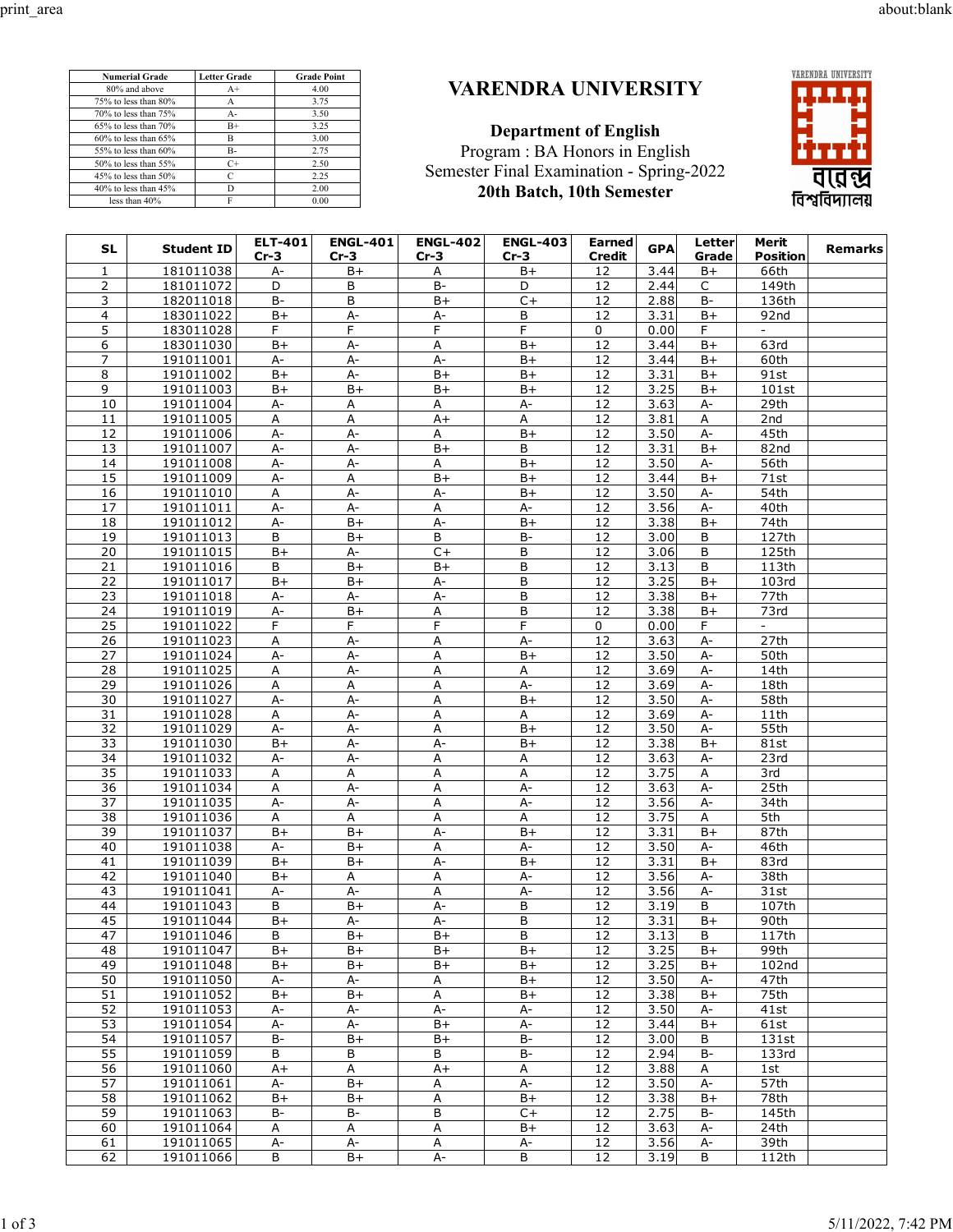**Numerial Grade Letter Grade Grade Point** 80% and above  $A+$  4.00<br>
8% to less than 80%  $A$  3.75<br>
9% to less than 75%  $A-$  3.50 75% to less than 80% A 3.75<br>70% to less than 75% A- 3.50 70% to less than 75% A- 3.50<br>65% to less than 70% B+ 3.25 65% to less than 70% B+ 3.25<br>60% to less than 65% B 3.00 60% to less than 65% B<br>55% to less than 60% B<br>50% to less than 55% C+<br>2.50% b<br>1.50% C+<br>3.50% C+

45% to less than 50% C 2.25<br>40% to less than 45% D 2.00

less than  $40\%$  F 0.00

 $55\%$  to less than  $60\%$ 

 $40\%$  to less than  $45\%$ 

50% to less than  $55\%$  C+

## **VARENDRA UNIVERSITY**

**Department of English** Program : BA Honors in English Semester Final Examination - Spring-2022 **20th Batch, 10th Semester**



| SL             | <b>Student ID</b>      | <b>ELT-401</b><br>$Cr-3$ | <b>ENGL-401</b><br>$Cr-3$ | <b>ENGL-402</b><br>$Cr-3$ | <b>ENGL-403</b><br>Cr-3 | <b>Earned</b><br>Credit | <b>GPA</b>   | Letter<br>Grade | Merit<br><b>Position</b>   | Remarks |
|----------------|------------------------|--------------------------|---------------------------|---------------------------|-------------------------|-------------------------|--------------|-----------------|----------------------------|---------|
| $\mathbf{1}$   | 181011038              | A-                       | B+                        | Α                         | B+                      | 12                      | 3.44         | $B+$            | 66th                       |         |
| 2              | 181011072              | D                        | В                         | $B -$                     | D                       | 12                      | 2.44         | $\mathsf{C}$    | 149th                      |         |
| 3              | 182011018              | <b>B-</b>                | В                         | B+                        | $C +$                   | 12                      | 2.88         | B-              | 136th                      |         |
| 4              | 183011022              | $B+$                     | A-                        | A-                        | B                       | 12                      | 3.31         | B+              | 92nd                       |         |
| 5              | 183011028              | F.                       | F                         | F                         | F.                      | 0                       | 0.00         | F.              | $\overline{\phantom{0}}$   |         |
| 6              | 183011030              | B+                       | A-                        | А                         | B+                      | 12                      | 3.44         | B+              | 63rd                       |         |
| 7              | 191011001              | A-                       | А-                        | A-                        | B+                      | 12                      | 3.44         | B+              | 60th                       |         |
| $\overline{8}$ | 191011002              | $B+$                     | A-                        | $B+$                      | $B+$                    | 12                      | 3.31         | B+              | 91st                       |         |
| 9              | 191011003              | B+                       | B+                        | B+                        | B+                      | 12                      | 3.25         | B+              | 101st                      |         |
| 10             | 191011004              | A-                       | Α                         | A                         | A-                      | 12                      | 3.63         | A-              | 29th                       |         |
| 11             | 191011005              | Α                        | А                         | $A+$                      | Α                       | 12                      | 3.81         | Α               | 2nd                        |         |
| 12             | 191011006              | A-                       | А-                        | Α                         | B+                      | 12                      | 3.50         | A-              | 45th                       |         |
| 13             | 191011007              | А-                       | A-                        | $B+$                      | B<br>$B+$               | 12                      | 3.31         | $B+$            | 82nd                       |         |
| 14<br>15       | 191011008              | A-                       | A-<br>A                   | Α                         |                         | 12<br>12                | 3.50         | A-              | 56th<br>$\overline{71}$ st |         |
| 16             | 191011009<br>191011010 | A-<br>A                  | A-                        | B+<br>A-                  | B+<br>B+                | 12                      | 3.44<br>3.50 | B+<br>A-        | 54th                       |         |
| 17             | 191011011              | A-                       | $A-$                      | А                         | А-                      | 12                      | 3.56         | A-              | 40th                       |         |
| 18             | 191011012              | A-                       | B+                        | A-                        | B+                      | 12                      | 3.38         | $B+$            | 74th                       |         |
| 19             | 191011013              | B                        | B+                        | B                         | B-                      | 12                      | 3.00         | В               | 127th                      |         |
| 20             | 191011015              | $B+$                     | А-                        | $C+$                      | В                       | $\overline{12}$         | 3.06         | B               | 125th                      |         |
| 21             | 191011016              | B                        | $B+$                      | B+                        | B                       | 12                      | 3.13         | B               | 113th                      |         |
| 22             | 191011017              | B+                       | B+                        | A-                        | B                       | 12                      | 3.25         | B+              | 103rd                      |         |
| 23             | 191011018              | A-                       | A-                        | А-                        | B                       | 12                      | 3.38         | B+              | 77th                       |         |
| 24             | 191011019              | A-                       | B+                        | А                         | В                       | 12                      | 3.38         | B+              | 73rd                       |         |
| 25             | 191011022              | F                        | F                         | F                         | F                       | $\mathbf 0$             | 0.00         | F               |                            |         |
| 26             | 191011023              | А                        | A-                        | Α                         | A-                      | 12                      | 3.63         | А-              | 27th                       |         |
| 27             | 191011024              | А-                       | A-                        | A                         | B+                      | 12                      | 3.50         | A-              | 50th                       |         |
| 28             | 191011025              | A                        | A-                        | A                         | А                       | 12                      | 3.69         | А-              | 14th                       |         |
| 29             | 191011026              | Α                        | Α                         | А                         | А-                      | 12                      | 3.69         | A-              | 18th                       |         |
| 30             | 191011027              | A-                       | A-                        | A                         | B+                      | 12                      | 3.50         | $A-$            | 58th                       |         |
| 31             | 191011028              | Α                        | А-                        | Α                         | A                       | 12                      | 3.69         | A-              | 11th                       |         |
| 32             | 191011029              | А-                       | A-                        | A                         | $B+$                    | 12                      | 3.50         | A-              | 55th                       |         |
| 33             | 191011030              | $B+$                     | A-                        | А-                        | B+                      | 12                      | 3.38         | B+              | 81st                       |         |
| 34             | 191011032              | A-                       | A-                        | А                         | А                       | 12                      | 3.63         | A-              | 23rd                       |         |
| 35             | 191011033              | A                        | А                         | A                         | Α                       | 12                      | 3.75         | A               | 3rd                        |         |
| 36             | 191011034              | Α                        | A-                        | А                         | A-                      | 12                      | 3.63         | А-              | 25th                       |         |
| 37             | 191011035              | A-                       | $A -$                     | A                         | А-                      | 12                      | 3.56         | A-              | 34th                       |         |
| 38             | 191011036              | А                        | А                         | Α                         | А                       | 12                      | 3.75         | Α               | 5th                        |         |
| 39             | 191011037              | B+                       | B+                        | $A -$                     | B+                      | 12                      | 3.31         | $B+$            | 87th                       |         |
| 40             | 191011038              | A-                       | B+                        | Α                         | А-                      | 12                      | 3.50         | A-              | 46th                       |         |
| 41             | 191011039              | B+                       | B+                        | А-                        | B+                      | 12                      | 3.31         | B+              | 83rd                       |         |
| 42             | 191011040              | B+                       | А                         | Α                         | А-                      | 12                      | 3.56         | A-              | 38th                       |         |
| 43             | 191011041              | A-                       | A-                        | Α                         | А-                      | 12                      | 3.56         | A-              | 31st                       |         |
| 44<br>45       | 191011043              | В                        | $B+$                      | A-                        | B                       | 12                      | 3.19         | B               | 107th                      |         |
|                | 191011044<br>191011046 | $B+$                     | A-                        | A-                        | B<br>B                  | 12                      | 3.31         | $B+$            | 90th                       |         |
| 47<br>48       | 191011047              | В<br>B+                  | B+<br>B+                  | B+<br>B+                  | B+                      | 12<br>12                | 3.13<br>3.25 | B<br>B+         | 117th<br>99th              |         |
| 49             | 191011048              | B+                       | B+                        | B+                        | B+                      | 12                      | 3.25         | B+              | 102 <sub>nd</sub>          |         |
| 50             | 191011050              | A-                       | A-                        | A                         | B+                      | 12                      | 3.50         | A-              | 47th                       |         |
| 51             | 191011052              | $B+$                     | $\overline{B+}$           | А                         | $B+$                    | 12                      | 3.38         | B+              | 75th                       |         |
| 52             | 191011053              | A-                       | A-                        | A-                        | A-                      | 12                      | 3.50         | A-              | 41st                       |         |
| 53             | 191011054              | A-                       | А-                        | $B+$                      | А-                      | 12                      | 3.44         | B+              | 61st                       |         |
| 54             | 191011057              | <b>B-</b>                | $B+$                      | $B+$                      | B-                      | 12                      | 3.00         | B               | 131st                      |         |
| 55             | 191011059              | B                        | B                         | В                         | <b>B-</b>               | 12                      | 2.94         | B-              | 133rd                      |         |
| 56             | 191011060              | A+                       | Α                         | A+                        | Α                       | 12                      | 3.88         | Α               | 1st                        |         |
| 57             | 191011061              | A-                       | $B+$                      | Α                         | A-                      | 12                      | 3.50         | A-              | 57th                       |         |
| 58             | 191011062              | B+                       | B+                        | Α                         | B+                      | 12                      | 3.38         | B+              | 78th                       |         |
| 59             | 191011063              | B-                       | B-                        | B                         | C+                      | 12                      | 2.75         | B-              | 145th                      |         |
| 60             | 191011064              | Α                        | Α                         | A                         | B+                      | 12                      | 3.63         | A-              | 24th                       |         |
| 61             | 191011065              | A-                       | A-                        | Α                         | <u>A-</u>               | 12                      | 3.56         | A-              | 39th                       |         |
| 62             | 191011066              | B                        | $B+$                      | A-                        | B                       | 12                      | 3.19         | B               | 112th                      |         |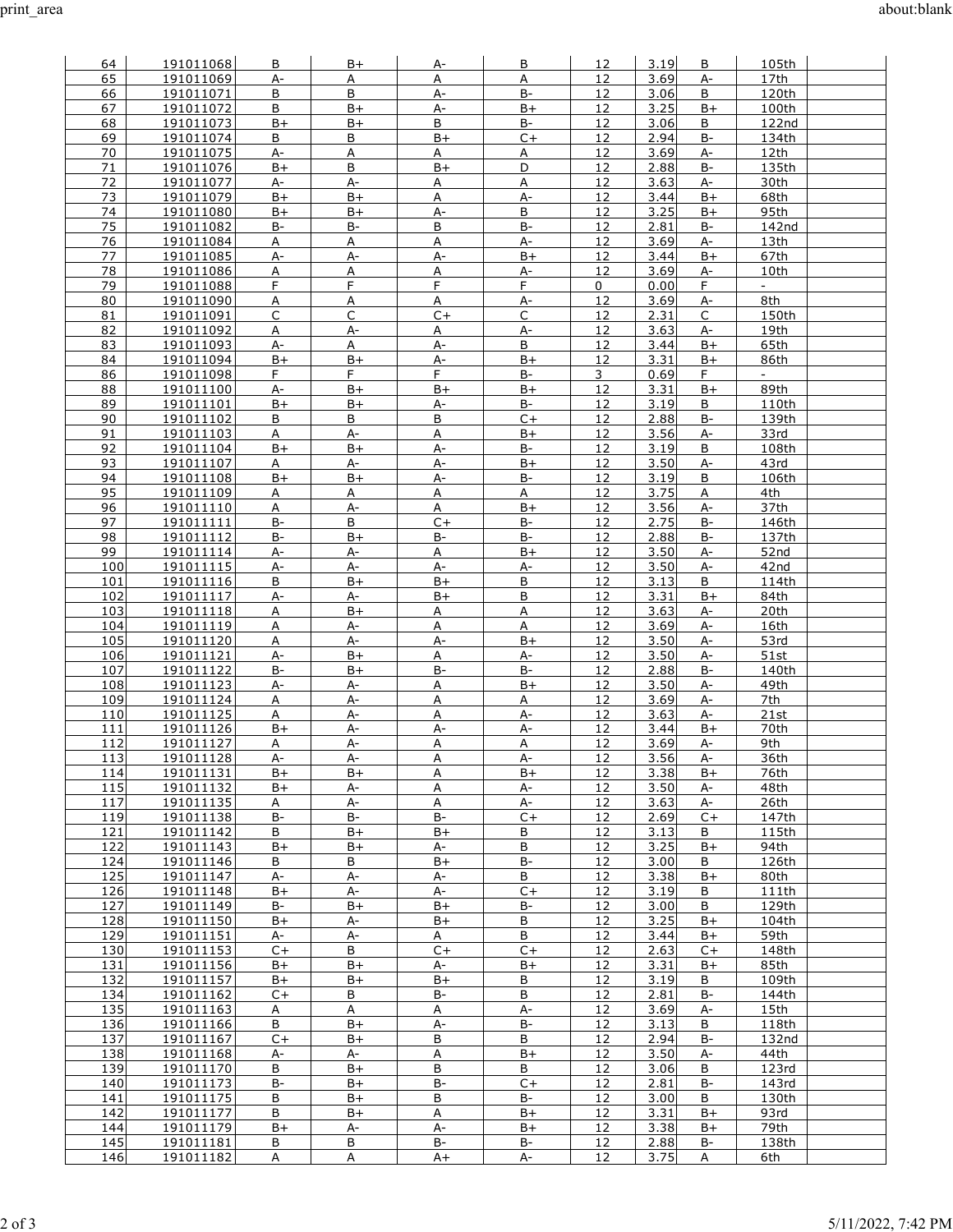| 64         | 191011068              | В              | B+             | A-         | В               | 12       | 3.19         | В           | 105th                    |
|------------|------------------------|----------------|----------------|------------|-----------------|----------|--------------|-------------|--------------------------|
| 65         | 191011069              | A-             | A              | A          | Α               | 12       | 3.69         | A-          | 17th                     |
| 66         | 191011071              | B              | B              | A-         | $B -$           | 12       | 3.06         | B           | 120th                    |
| 67         | 191011072              | В              | $B+$           | A-         | B+              | 12       | 3.25         | $B+$        | 100th                    |
| 68         | 191011073              | $B+$           | $B+$           | B          | B-              | 12       | 3.06         | B           | 122nd                    |
| 69         | 191011074              | В              | В              | B+         | $C +$           | 12       | 2.94         | B-          | 134th                    |
| 70         | 191011075              | A-             | Α              | А          | А               | 12       | 3.69         | A-          | 12th                     |
| 71         | 191011076              | $B+$           | B              | $B+$       | D               | 12       | 2.88         | $B -$       | 135th                    |
| 72<br>73   | 191011077<br>191011079 | A-<br>$B+$     | A-<br>$B+$     | Α<br>А     | А<br>A-         | 12<br>12 | 3.63<br>3.44 | A-<br>B+    | 30th<br>68th             |
| 74         | 191011080              | B+             | $B+$           | А-         | B               | 12       | 3.25         | B+          | 95th                     |
| 75         | 191011082              | B-             | B-             | В          | $B-$            | 12       | 2.81         | B-          | 142nd                    |
| 76         | 191011084              | Α              | A              | Α          | A-              | 12       | 3.69         | A-          | 13th                     |
| 77         | 191011085              | A-             | A-             | A-         | $B+$            | 12       | 3.44         | $B+$        | 67th                     |
| 78         | 191011086              | Α              | Α              | Α          | А-              | 12       | 3.69         | A-          | 10th                     |
| 79         | 191011088              | F.             | F              | F          | F               | 0        | 0.00         | F.          | $\overline{\phantom{a}}$ |
| 80         | 191011090              | А              | A              | А          | A-              | 12       | 3.69         | А-          | 8th                      |
| 81         | 191011091              | $\mathsf C$    | C              | $C +$      | C               | 12       | 2.31         | C           | 150th                    |
| 82         | 191011092              | Α              | A-             | А          | А-              | 12       | 3.63         | А-          | 19th                     |
| 83<br>84   | 191011093<br>191011094 | A-<br>$B+$     | A<br>B+        | А-<br>А-   | B<br>B+         | 12<br>12 | 3.44<br>3.31 | B+<br>B+    | 65th<br>86th             |
| 86         | 191011098              | F.             | F.             | F          | B-              | 3        | 0.69         | F.          |                          |
| 88         | 191011100              | A-             | $B+$           | $B+$       | $B+$            | 12       | 3.31         | B+          | 89th                     |
| 89         | 191011101              | B+             | $B+$           | А-         | B-              | 12       | 3.19         | В           | 110th                    |
| 90         | 191011102              | B              | B              | B          | $C+$            | 12       | 2.88         | $B-$        | 139th                    |
| 91         | 191011103              | А              | А-             | А          | B+              | 12       | 3.56         | A-          | 33rd                     |
| 92         | 191011104              | B+             | B+             | A-         | <b>B-</b>       | 12       | 3.19         | В           | 108th                    |
| 93         | 191011107              | A              | А-             | А-         | $B+$            | 12       | 3.50         | А-          | 43rd                     |
| 94         | 191011108              | $B+$           | $B+$           | A-         | <b>B-</b>       | 12       | 3.19         | B           | 106th                    |
| 95<br>96   | 191011109<br>191011110 | Α              | А<br>A-        | Α<br>Α     | А<br>$B+$       | 12<br>12 | 3.75<br>3.56 | Α<br>А-     | 4th<br>37th              |
| 97         | 191011111              | Α<br>$B -$     | B              | $C+$       | B-              | 12       | 2.75         | $B -$       | 146th                    |
| 98         | 191011112              | B-             | B+             | B-         | B-              | 12       | 2.88         | B-          | 137th                    |
| 99         | 191011114              | А-             | А-             | Α          | $B+$            | 12       | 3.50         | A-          | 52nd                     |
| 100        | 191011115              | А-             | А-             | A-         | A-              | 12       | 3.50         | A-          | 42nd                     |
| 101        | 191011116              | В              | $B+$           | $B+$       | <u>B</u>        | 12       | 3.13         | В           | 114th                    |
| 102        | 191011117              | A-             | A-             | B+         | B               | 12       | 3.31         | B+          | 84th                     |
| 103        | 191011118              | А              | B+             | Α          | Α               | 12       | 3.63         | A-          | 20th                     |
| 104<br>105 | 191011119<br>191011120 | А<br>А         | A-<br>A-       | А<br>A-    | Α<br>B+         | 12<br>12 | 3.69<br>3.50 | A-<br>А-    | 16th<br>53rd             |
| 106        | 191011121              | А-             | $B+$           | А          | A-              | 12       | 3.50         | А-          | 51st                     |
| 107        | 191011122              | B-             | B+             | B-         | B-              | 12       | 2.88         | <b>B-</b>   | 140th                    |
| 108        | 191011123              | A-             | А-             | Α          | B+              | 12       | 3.50         | А-          | 49th                     |
| 109        | 191011124              | А              | $A-$           | А          | А               | 12       | 3.69         | А-          | 7th                      |
| 110        | 191011125              | Α              | A-             | А          | A-              | 12       | 3.63         | A-          | 21st                     |
| 111        | 191011126              | $B+$           | A-             | A-         | A-              | 12       | 3.44         | B+          | 70th                     |
| 112<br>113 | 191011127<br>191011128 | A<br>A-        | A-<br>A-       | A<br>Α     | A<br>А-         | 12<br>12 | 3.69<br>3.56 | $A -$<br>A- | 9th<br>36th              |
| 114        | 191011131              | $B+$           | $B+$           | А          | $B+$            | 12       | 3.38         | B+          | 76th                     |
| 115        | 191011132              | $B+$           | A-             | Α          | A-              | 12       | 3.50         | A-          | 48th                     |
| 117        | 191011135              | Α              | A-             | A          | A-              | 12       | 3.63         | A-          | 26th                     |
| 119        | 191011138              | <b>B-</b>      | <b>B-</b>      | $B-$       | $C+$            | 12       | 2.69         | $C+$        | 147th                    |
| 121        | 191011142              | B              | $B+$           | $B+$       | B               | 12       | 3.13         | B           | 115th                    |
| 122        | 191011143              | B+             | $B+$           | A-         | B               | 12       | 3.25         | B+          | 94th                     |
| 124        | 191011146              | B              | В              | $B+$       | B-              | 12       | 3.00         | B           | 126th                    |
| 125        | 191011147<br>191011148 | A-             | A-             | A-         | B               | 12       | 3.38         | B+          | 80th                     |
| 126<br>127 | 191011149              | B+<br>B-       | A-<br>$B+$     | A-<br>$B+$ | $C+$<br>B-      | 12<br>12 | 3.19<br>3.00 | В<br>В      | 111th<br>129th           |
| 128        | 191011150              | B+             | A-             | $B+$       | $\overline{B}$  | 12       | 3.25         | B+          | 104th                    |
| 129        | 191011151              | A-             | A-             | A          | $\mathsf B$     | 12       | 3.44         | B+          | 59th                     |
| 130        | 191011153              | $C+$           | B              | $C+$       | $C+$            | 12       | 2.63         | $C+$        | 148th                    |
| 131        | 191011156              | $B+$           | B+             | A-         | B+              | 12       | 3.31         | B+          | 85th                     |
| 132        | 191011157              | $B+$           | B+             | B+         | В               | 12       | 3.19         | В           | 109th                    |
| 134        | 191011162              | $C+$           | B              | <b>B-</b>  | В               | 12       | 2.81         | B-          | 144th                    |
| 135<br>136 | 191011163<br>191011166 | A<br>B         | A<br>B+        | A<br>$A-$  | A-<br>$B-$      | 12<br>12 | 3.69<br>3.13 | A-<br>В     | 15th<br>118th            |
| 137        | 191011167              | $C+$           | $B+$           | В          | В               | 12       | 2.94         | B-          | 132nd                    |
| 138        | 191011168              | A-             | A-             | A          | $B+$            | 12       | 3.50         | $A-$        | 44th                     |
| 139        | 191011170              | В              | $B+$           | В          | В               | 12       | 3.06         | В           | 123rd                    |
| 140        | 191011173              | B-             | B+             | $B-$       | $C+$            | 12       | 2.81         | B-          | 143rd                    |
| 141        | 191011175              | B              | $B+$           | B          | <b>B-</b>       | 12       | 3.00         | B           | 130th                    |
| 142        | 191011177              | B              | $B+$           | A          | B+              | 12       | 3.31         | B+          | 93rd                     |
| 144<br>145 | 191011179<br>191011181 | $B+$<br>B      | А-<br>B        | А-<br>B-   | B+<br><b>B-</b> | 12<br>12 | 3.38<br>2.88 | B+<br>B-    | 79th<br>138th            |
| 146        | 191011182              | $\overline{A}$ | $\overline{A}$ | $A+$       | A-              | 12       | 3.75         | Α           | 6th                      |
|            |                        |                |                |            |                 |          |              |             |                          |